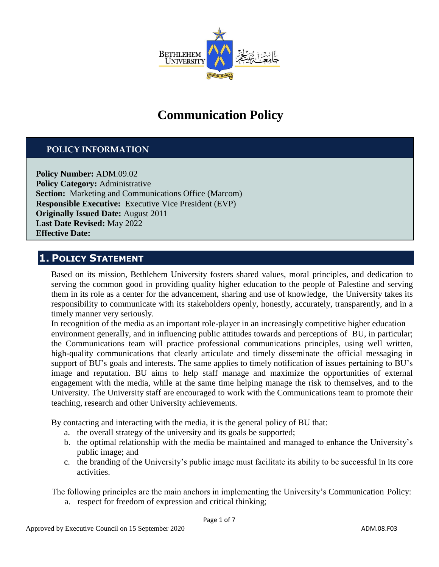

# **Communication Policy**

### **POLICY INFORMATION**

**Policy Number:** ADM.09.02 **Policy Category: Administrative Section:** Marketing and Communications Office (Marcom) **Responsible Executive:** Executive Vice President (EVP) **Originally Issued Date:** August 2011 **Last Date Revised:** May 2022 **Effective Date:**

### **1. POLICY STATEMENT**

Based on its mission, Bethlehem University fosters shared values, moral principles, and dedication to serving the common good in providing quality higher education to the people of Palestine and serving them in its role as a center for the advancement, sharing and use of knowledge, the University takes its responsibility to communicate with its stakeholders openly, honestly, accurately, transparently, and in a timely manner very seriously.

In recognition of the media as an important role-player in an increasingly competitive higher education environment generally, and in influencing public attitudes towards and perceptions of BU, in particular; the Communications team will practice professional communications principles, using well written, high-quality communications that clearly articulate and timely disseminate the official messaging in support of BU's goals and interests. The same applies to timely notification of issues pertaining to BU's image and reputation. BU aims to help staff manage and maximize the opportunities of external engagement with the media, while at the same time helping manage the risk to themselves, and to the University. The University staff are encouraged to work with the Communications team to promote their teaching, research and other University achievements.

By contacting and interacting with the media, it is the general policy of BU that:

- a. the overall strategy of the university and its goals be supported;
- b. the optimal relationship with the media be maintained and managed to enhance the University's public image; and
- c. the branding of the University's public image must facilitate its ability to be successful in its core activities.

The following principles are the main anchors in implementing the University's Communication Policy:

a. respect for freedom of expression and critical thinking;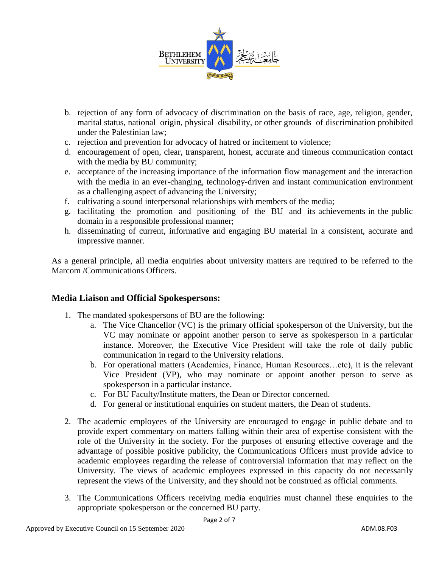

- b. rejection of any form of advocacy of discrimination on the basis of race, age, religion, gender, marital status, national origin, physical disability, or other grounds of discrimination prohibited under the Palestinian law;
- c. rejection and prevention for advocacy of hatred or incitement to violence;
- d. encouragement of open, clear, transparent, honest, accurate and timeous communication contact with the media by BU community;
- e. acceptance of the increasing importance of the information flow management and the interaction with the media in an ever-changing, technology-driven and instant communication environment as a challenging aspect of advancing the University;
- f. cultivating a sound interpersonal relationships with members of the media;
- g. facilitating the promotion and positioning of the BU and its achievements in the public domain in a responsible professional manner;
- h. disseminating of current, informative and engaging BU material in a consistent, accurate and impressive manner.

As a general principle, all media enquiries about university matters are required to be referred to the Marcom /Communications Officers.

#### **Media Liaison and Official Spokespersons:**

- 1. The mandated spokespersons of BU are the following:
	- a. The Vice Chancellor (VC) is the primary official spokesperson of the University, but the VC may nominate or appoint another person to serve as spokesperson in a particular instance. Moreover, the Executive Vice President will take the role of daily public communication in regard to the University relations.
	- b. For operational matters (Academics, Finance, Human Resources…etc), it is the relevant Vice President (VP), who may nominate or appoint another person to serve as spokesperson in a particular instance.
	- c. For BU Faculty/Institute matters, the Dean or Director concerned.
	- d. For general or institutional enquiries on student matters, the Dean of students.
- 2. The academic employees of the University are encouraged to engage in public debate and to provide expert commentary on matters falling within their area of expertise consistent with the role of the University in the society. For the purposes of ensuring effective coverage and the advantage of possible positive publicity, the Communications Officers must provide advice to academic employees regarding the release of controversial information that may reflect on the University. The views of academic employees expressed in this capacity do not necessarily represent the views of the University, and they should not be construed as official comments.
- 3. The Communications Officers receiving media enquiries must channel these enquiries to the appropriate spokesperson or the concerned BU party.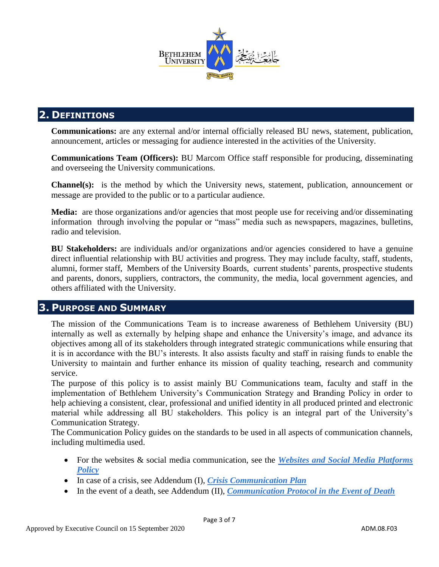

# **2. DEFINITIONS**

**Communications:** are any external and/or internal officially released BU news, statement, publication, announcement, articles or messaging for audience interested in the activities of the University.

**Communications Team (Officers):** BU Marcom Office staff responsible for producing, disseminating and overseeing the University communications.

**Channel(s):** is the method by which the University news, statement, publication, announcement or message are provided to the public or to a particular audience.

**Media:** are those organizations and/or agencies that most people use for receiving and/or disseminating information through involving the popular or "mass" media such as newspapers, magazines, bulletins, radio and television.

**BU Stakeholders:** are individuals and/or organizations and/or agencies considered to have a genuine direct influential relationship with BU activities and progress. They may include faculty, staff, students, alumni, former staff, Members of the University Boards, current students' parents, prospective students and parents, donors, suppliers, contractors, the community, the media, local government agencies, and others affiliated with the University.

### **3. PURPOSE AND SUMMARY**

The mission of the Communications Team is to increase awareness of Bethlehem University (BU) internally as well as externally by helping shape and enhance the University's image, and advance its objectives among all of its stakeholders through integrated strategic communications while ensuring that it is in accordance with the BU's interests. It also assists faculty and staff in raising funds to enable the University to maintain and further enhance its mission of quality teaching, research and community service.

The purpose of this policy is to assist mainly BU Communications team, faculty and staff in the implementation of Bethlehem University's Communication Strategy and Branding Policy in order to help achieving a consistent, clear, professional and unified identity in all produced printed and electronic material while addressing all BU stakeholders. This policy is an integral part of the University's Communication Strategy.

The Communication Policy guides on the standards to be used in all aspects of communication channels, including multimedia used.

- For the websites & social media communication, see the *Websites and Social Media Platforms Policy*
- In case of a crisis, see Addendum (I), *Crisis Communication Plan*
- In the event of a death, see Addendum (II), *Communication Protocol in the Event of Death*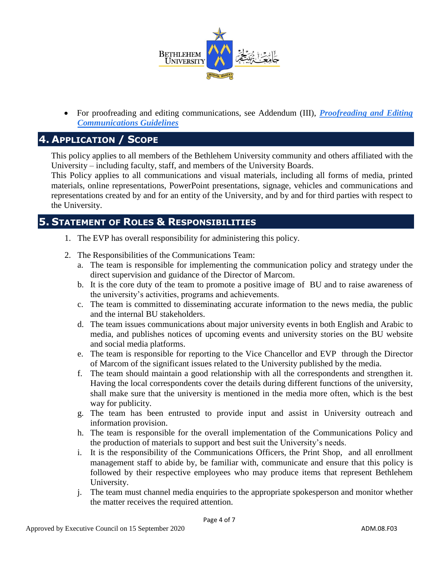

• For proofreading and editing communications, see Addendum (III), *Proofreading and Editing Communications Guidelines* 

# **4. APPLICATION / SCOPE**

This policy applies to all members of the Bethlehem University community and others affiliated with the University – including faculty, staff, and members of the University Boards.

This Policy applies to all communications and visual materials, including all forms of media, printed materials, online representations, PowerPoint presentations, signage, vehicles and communications and representations created by and for an entity of the University, and by and for third parties with respect to the University.

### **5. STATEMENT OF ROLES & RESPONSIBILITIES**

- 1. The EVP has overall responsibility for administering this policy.
- 2. The Responsibilities of the Communications Team:
	- a. The team is responsible for implementing the communication policy and strategy under the direct supervision and guidance of the Director of Marcom.
	- b. It is the core duty of the team to promote a positive image of BU and to raise awareness of the university's activities, programs and achievements.
	- c. The team is committed to disseminating accurate information to the news media, the public and the internal BU stakeholders.
	- d. The team issues communications about major university events in both English and Arabic to media, and publishes notices of upcoming events and university stories on the BU website and social media platforms.
	- e. The team is responsible for reporting to the Vice Chancellor and EVP through the Director of Marcom of the significant issues related to the University published by the media.
	- f. The team should maintain a good relationship with all the correspondents and strengthen it. Having the local correspondents cover the details during different functions of the university, shall make sure that the university is mentioned in the media more often, which is the best way for publicity.
	- g. The team has been entrusted to provide input and assist in University outreach and information provision.
	- h. The team is responsible for the overall implementation of the Communications Policy and the production of materials to support and best suit the University's needs.
	- i. It is the responsibility of the Communications Officers, the Print Shop, and all enrollment management staff to abide by, be familiar with, communicate and ensure that this policy is followed by their respective employees who may produce items that represent Bethlehem University.
	- j. The team must channel media enquiries to the appropriate spokesperson and monitor whether the matter receives the required attention.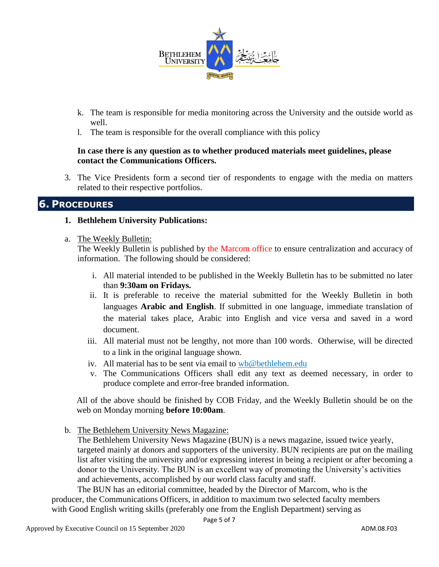

- k. The team is responsible for media monitoring across the University and the outside world as well.
- l. The team is responsible for the overall compliance with this policy

#### **In case there is any question as to whether produced materials meet guidelines, please contact the Communications Officers.**

3. The Vice Presidents form a second tier of respondents to engage with the media on matters related to their respective portfolios.

#### **6. PROCEDURES**

#### **1. Bethlehem University Publications:**

a. The Weekly Bulletin:

The Weekly Bulletin is published by the Marcom office to ensure centralization and accuracy of information. The following should be considered:

- i. All material intended to be published in the Weekly Bulletin has to be submitted no later than **9:30am on Fridays.**
- ii. It is preferable to receive the material submitted for the Weekly Bulletin in both languages **Arabic and English**. If submitted in one language, immediate translation of the material takes place, Arabic into English and vice versa and saved in a word document.
- iii. All material must not be lengthy, not more than 100 words. Otherwise, will be directed to a link in the original language shown.
- iv. All material has to be sent via email to wb@bethlehem.edu
- v. The Communications Officers shall edit any text as deemed necessary, in order to produce complete and error-free branded information.

All of the above should be finished by COB Friday, and the Weekly Bulletin should be on the web on Monday morning **before 10:00am**.

b. The Bethlehem University News Magazine:

The Bethlehem University News Magazine (BUN) is a news magazine, issued twice yearly, targeted mainly at donors and supporters of the university. BUN recipients are put on the mailing list after visiting the university and/or expressing interest in being a recipient or after becoming a donor to the University. The BUN is an excellent way of promoting the University's activities and achievements, accomplished by our world class faculty and staff.

The BUN has an editorial committee, headed by the Director of Marcom, who is the producer, the Communications Officers, in addition to maximum two selected faculty members with Good English writing skills (preferably one from the English Department) serving as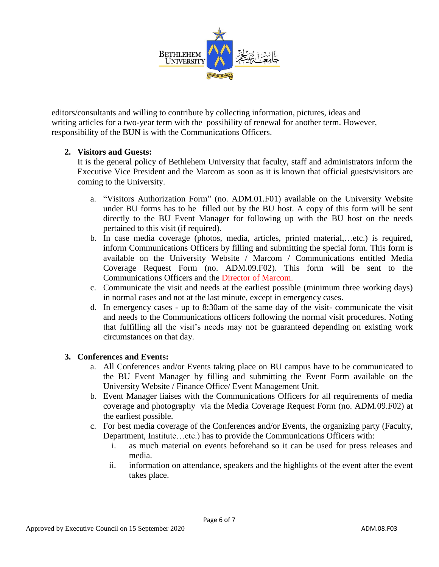

editors/consultants and willing to contribute by collecting information, pictures, ideas and writing articles for a two-year term with the possibility of renewal for another term. However, responsibility of the BUN is with the Communications Officers.

#### **2. Visitors and Guests:**

It is the general policy of Bethlehem University that faculty, staff and administrators inform the Executive Vice President and the Marcom as soon as it is known that official guests/visitors are coming to the University.

- a. "Visitors Authorization Form" (no. ADM.01.F01) available on the University Website under BU forms has to be filled out by the BU host. A copy of this form will be sent directly to the BU Event Manager for following up with the BU host on the needs pertained to this visit (if required).
- b. In case media coverage (photos, media, articles, printed material,…etc.) is required, inform Communications Officers by filling and submitting the special form. This form is available on the University Website / Marcom / Communications entitled Media Coverage Request Form (no. ADM.09.F02). This form will be sent to the Communications Officers and the Director of Marcom.
- c. Communicate the visit and needs at the earliest possible (minimum three working days) in normal cases and not at the last minute, except in emergency cases.
- d. In emergency cases up to 8:30am of the same day of the visit- communicate the visit and needs to the Communications officers following the normal visit procedures. Noting that fulfilling all the visit's needs may not be guaranteed depending on existing work circumstances on that day.

#### **3. Conferences and Events:**

- a. All Conferences and/or Events taking place on BU campus have to be communicated to the BU Event Manager by filling and submitting the Event Form available on the University Website / Finance Office/ Event Management Unit.
- b. Event Manager liaises with the Communications Officers for all requirements of media coverage and photography via the Media Coverage Request Form (no. ADM.09.F02) at the earliest possible.
- c. For best media coverage of the Conferences and/or Events, the organizing party (Faculty, Department, Institute…etc.) has to provide the Communications Officers with:
	- i. as much material on events beforehand so it can be used for press releases and media.
	- ii. information on attendance, speakers and the highlights of the event after the event takes place.